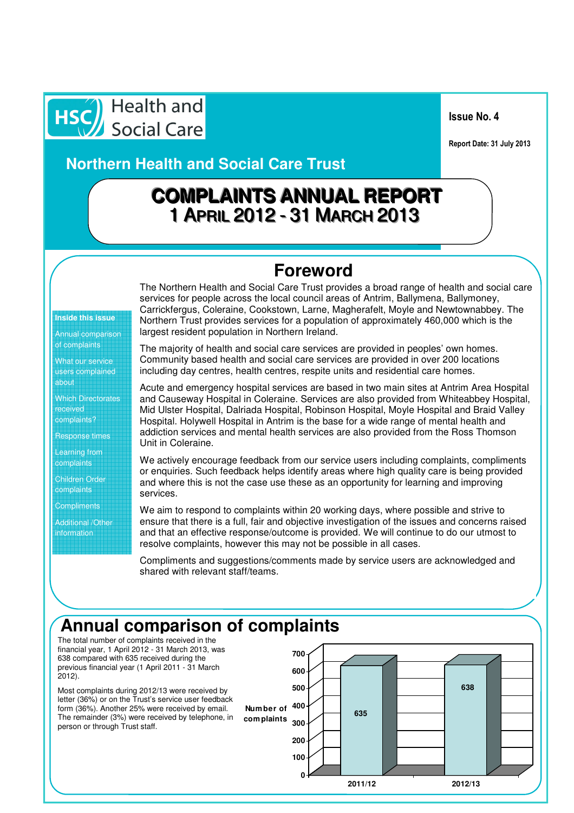HSC Health and

Issue No. 4

Report Date: 31 July 2013

**Northern Health and Social Care Trust** 

# **COMPLAIINTS ANNUAL REPORT** 1 APRIIL 2012-- 31 MARCH 2013

#### **Foreword**

**Inside this issue**

Annual comparison of complaints

What our service users complained about

Which Directorates received

complaints?

Response times

Learning from complaints

Children Order

complaints

**Compliments** 

Additional /Other information

The Northern Health and Social Care Trust provides a broad range of health and social care services for people across the local council areas of Antrim, Ballymena, Ballymoney, Carrickfergus, Coleraine, Cookstown, Larne, Magherafelt, Moyle and Newtownabbey. The Northern Trust provides services for a population of approximately 460,000 which is the largest resident population in Northern Ireland.

The majority of health and social care services are provided in peoples' own homes. Community based health and social care services are provided in over 200 locations including day centres, health centres, respite units and residential care homes.

Acute and emergency hospital services are based in two main sites at Antrim Area Hospital and Causeway Hospital in Coleraine. Services are also provided from Whiteabbey Hospital, Mid Ulster Hospital, Dalriada Hospital, Robinson Hospital, Moyle Hospital and Braid Valley Hospital. Holywell Hospital in Antrim is the base for a wide range of mental health and addiction services and mental health services are also provided from the Ross Thomson Unit in Coleraine.

We actively encourage feedback from our service users including complaints, compliments or enquiries. Such feedback helps identify areas where high quality care is being provided and where this is not the case use these as an opportunity for learning and improving services.

We aim to respond to complaints within 20 working days, where possible and strive to ensure that there is a full, fair and objective investigation of the issues and concerns raised and that an effective response/outcome is provided. We will continue to do our utmost to resolve complaints, however this may not be possible in all cases.

Compliments and suggestions/comments made by service users are acknowledged and shared with relevant staff/teams.

# **Annual comparison of complaints**

The total number of complaints received in the financial year, 1 April 2012 - 31 March 2013, was 638 compared with 635 received during the previous financial year (1 April 2011 - 31 March 2012).

Most complaints during 2012/13 were received by letter (36%) or on the Trust's service user feedback form (36%). Another 25% were received by email. The remainder (3%) were received by telephone, in person or through Trust staff.

**Number of com plaints**

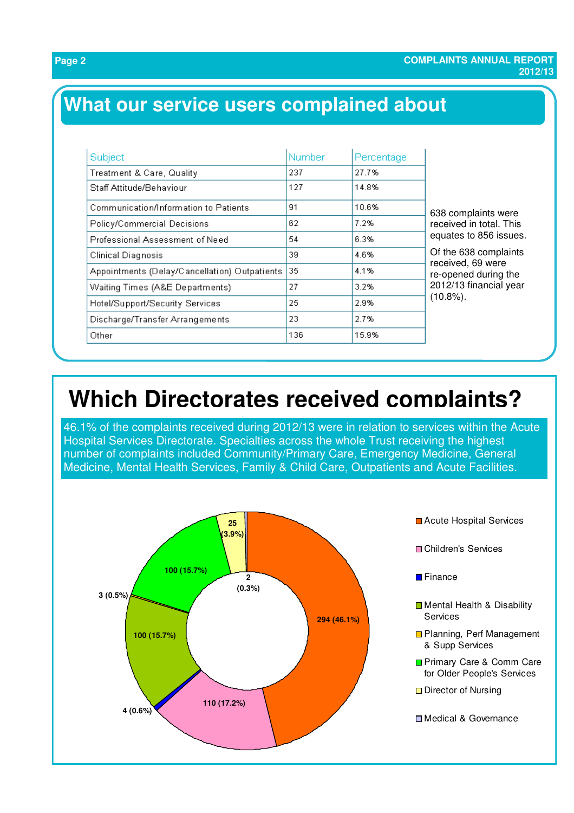# **What our service users complained about**

| Subject                                       | Number | Percentage | 638 complaints were<br>received in total. This<br>equates to 856 issues.<br>Of the 638 complaints<br>received, 69 were<br>re-opened during the<br>2012/13 financial year<br>$(10.8\%)$ . |
|-----------------------------------------------|--------|------------|------------------------------------------------------------------------------------------------------------------------------------------------------------------------------------------|
| Treatment & Care, Quality                     | 237    | 27.7%      |                                                                                                                                                                                          |
| Staff Attitude/Behaviour                      | 127    | 14.8%      |                                                                                                                                                                                          |
| Communication/Information to Patients         | 91     | 10.6%      |                                                                                                                                                                                          |
| Policy/Commercial Decisions                   | 62     | 7.2%       |                                                                                                                                                                                          |
| Professional Assessment of Need               | 54     | 6.3%       |                                                                                                                                                                                          |
| Clinical Diagnosis                            | 39.    | 4.6%       |                                                                                                                                                                                          |
| Appointments (Delay/Cancellation) Outpatients | 35     | 4.1%       |                                                                                                                                                                                          |
| Waiting Times (A&E Departments)               | 27     | 3.2%       |                                                                                                                                                                                          |
| Hotel/Support/Security Services               | 25     | 2.9%       |                                                                                                                                                                                          |
| Discharge/Transfer Arrangements               | 23.    | 2.7%       |                                                                                                                                                                                          |
| Other                                         | 136    | 15.9%      |                                                                                                                                                                                          |

# **Which Directorates received complaints?**

46.1% of the complaints received during 2012/13 were in relation to services within the Acute Hospital Services Directorate. Specialties across the whole Trust receiving the highest number of complaints included Community/Primary Care, Emergency Medicine, General Medicine, Mental Health Services, Family & Child Care, Outpatients and Acute Facilities.



**Acute Hospital Services D** Children's Services **■** Finance Mental Health & Disability **Services □ Planning, Perf Management** & Supp Services Primary Care & Comm Care for Older People's Services □ Director of Nursing **□ Medical & Governance**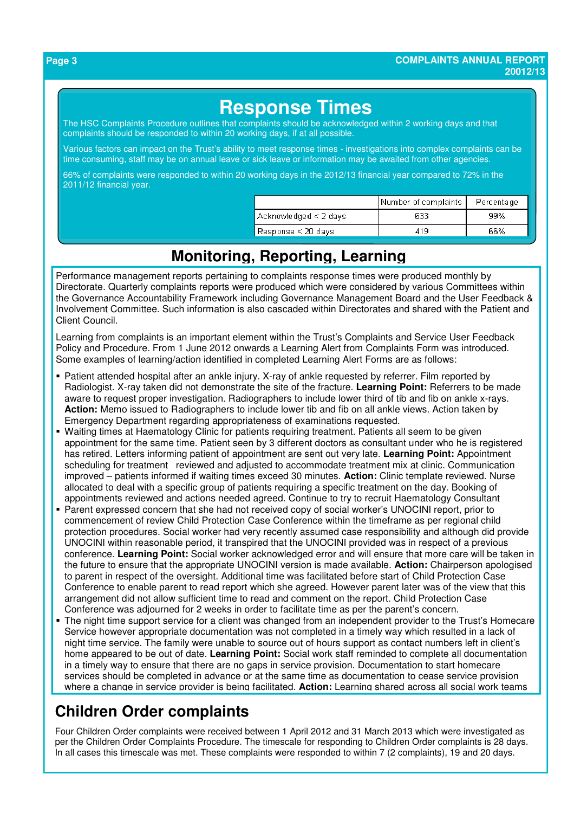## **Response Times**

The HSC Complaints Procedure outlines that complaints should be acknowledged within 2 working days and that complaints should be responded to within 20 working days, if at all possible.

Various factors can impact on the Trust's ability to meet response times - investigations into complex complaints can be time consuming, staff may be on annual leave or sick leave or information may be awaited from other agencies.

66% of complaints were responded to within 20 working days in the 2012/13 financial year compared to 72% in the 2011/12 financial year.

|                                         | Number of complaints | Percentage |
|-----------------------------------------|----------------------|------------|
| $\lambda$ cknowledged < 2 days          | 633                  | 99%        |
| $\sqrt{\frac{1}{1}}$ Response < 20 days | 419                  | 66%        |

#### **Monitoring, Reporting, Learning**

Performance management reports pertaining to complaints response times were produced monthly by Directorate. Quarterly complaints reports were produced which were considered by various Committees within the Governance Accountability Framework including Governance Management Board and the User Feedback & Involvement Committee. Such information is also cascaded within Directorates and shared with the Patient and Client Council.

Learning from complaints is an important element within the Trust's Complaints and Service User Feedback Policy and Procedure. From 1 June 2012 onwards a Learning Alert from Complaints Form was introduced. Some examples of learning/action identified in completed Learning Alert Forms are as follows:

- Patient attended hospital after an ankle injury. X-ray of ankle requested by referrer. Film reported by Radiologist. X-ray taken did not demonstrate the site of the fracture. **Learning Point:** Referrers to be made aware to request proper investigation. Radiographers to include lower third of tib and fib on ankle x-rays. **Action:** Memo issued to Radiographers to include lower tib and fib on all ankle views. Action taken by Emergency Department regarding appropriateness of examinations requested.
- Waiting times at Haematology Clinic for patients requiring treatment. Patients all seem to be given appointment for the same time. Patient seen by 3 different doctors as consultant under who he is registered has retired. Letters informing patient of appointment are sent out very late. **Learning Point:** Appointment scheduling for treatment reviewed and adjusted to accommodate treatment mix at clinic. Communication improved – patients informed if waiting times exceed 30 minutes. **Action:** Clinic template reviewed. Nurse allocated to deal with a specific group of patients requiring a specific treatment on the day. Booking of appointments reviewed and actions needed agreed. Continue to try to recruit Haematology Consultant
- Parent expressed concern that she had not received copy of social worker's UNOCINI report, prior to commencement of review Child Protection Case Conference within the timeframe as per regional child protection procedures. Social worker had very recently assumed case responsibility and although did provide UNOCINI within reasonable period, it transpired that the UNOCINI provided was in respect of a previous conference. **Learning Point:** Social worker acknowledged error and will ensure that more care will be taken in the future to ensure that the appropriate UNOCINI version is made available. **Action:** Chairperson apologised to parent in respect of the oversight. Additional time was facilitated before start of Child Protection Case Conference to enable parent to read report which she agreed. However parent later was of the view that this arrangement did not allow sufficient time to read and comment on the report. Child Protection Case Conference was adjourned for 2 weeks in order to facilitate time as per the parent's concern.
- The night time support service for a client was changed from an independent provider to the Trust's Homecare Service however appropriate documentation was not completed in a timely way which resulted in a lack of night time service. The family were unable to source out of hours support as contact numbers left in client's home appeared to be out of date. **Learning Point:** Social work staff reminded to complete all documentation in a timely way to ensure that there are no gaps in service provision. Documentation to start homecare services should be completed in advance or at the same time as documentation to cease service provision where a change in service provider is being facilitated. **Action:** Learning shared across all social work teams

### **Children Order complaints**

Four Children Order complaints were received between 1 April 2012 and 31 March 2013 which were investigated as per the Children Order Complaints Procedure. The timescale for responding to Children Order complaints is 28 days. In all cases this timescale was met. These complaints were responded to within 7 (2 complaints), 19 and 20 days.